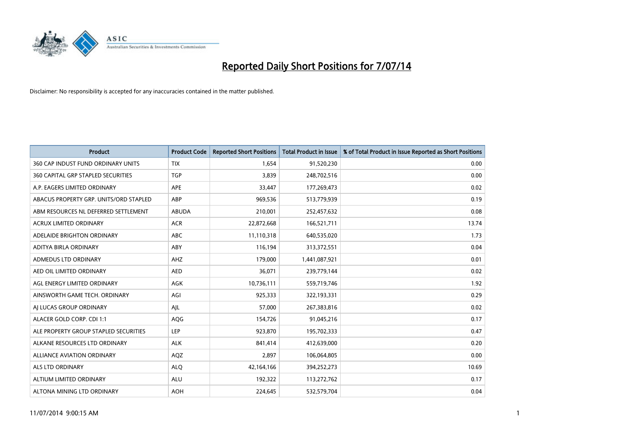

| <b>Product</b>                         | <b>Product Code</b> | <b>Reported Short Positions</b> | <b>Total Product in Issue</b> | % of Total Product in Issue Reported as Short Positions |
|----------------------------------------|---------------------|---------------------------------|-------------------------------|---------------------------------------------------------|
| 360 CAP INDUST FUND ORDINARY UNITS     | <b>TIX</b>          | 1,654                           | 91,520,230                    | 0.00                                                    |
| 360 CAPITAL GRP STAPLED SECURITIES     | <b>TGP</b>          | 3,839                           | 248,702,516                   | 0.00                                                    |
| A.P. EAGERS LIMITED ORDINARY           | <b>APE</b>          | 33,447                          | 177,269,473                   | 0.02                                                    |
| ABACUS PROPERTY GRP. UNITS/ORD STAPLED | ABP                 | 969,536                         | 513,779,939                   | 0.19                                                    |
| ABM RESOURCES NL DEFERRED SETTLEMENT   | ABUDA               | 210,001                         | 252,457,632                   | 0.08                                                    |
| <b>ACRUX LIMITED ORDINARY</b>          | <b>ACR</b>          | 22,872,668                      | 166,521,711                   | 13.74                                                   |
| ADELAIDE BRIGHTON ORDINARY             | <b>ABC</b>          | 11,110,318                      | 640,535,020                   | 1.73                                                    |
| ADITYA BIRLA ORDINARY                  | ABY                 | 116,194                         | 313,372,551                   | 0.04                                                    |
| <b>ADMEDUS LTD ORDINARY</b>            | AHZ                 | 179,000                         | 1,441,087,921                 | 0.01                                                    |
| AED OIL LIMITED ORDINARY               | <b>AED</b>          | 36,071                          | 239,779,144                   | 0.02                                                    |
| AGL ENERGY LIMITED ORDINARY            | AGK                 | 10,736,111                      | 559,719,746                   | 1.92                                                    |
| AINSWORTH GAME TECH. ORDINARY          | AGI                 | 925,333                         | 322,193,331                   | 0.29                                                    |
| AI LUCAS GROUP ORDINARY                | AJL                 | 57,000                          | 267,383,816                   | 0.02                                                    |
| ALACER GOLD CORP. CDI 1:1              | AQG                 | 154,726                         | 91,045,216                    | 0.17                                                    |
| ALE PROPERTY GROUP STAPLED SECURITIES  | LEP                 | 923,870                         | 195,702,333                   | 0.47                                                    |
| ALKANE RESOURCES LTD ORDINARY          | <b>ALK</b>          | 841,414                         | 412,639,000                   | 0.20                                                    |
| ALLIANCE AVIATION ORDINARY             | AQZ                 | 2,897                           | 106,064,805                   | 0.00                                                    |
| <b>ALS LTD ORDINARY</b>                | <b>ALQ</b>          | 42,164,166                      | 394,252,273                   | 10.69                                                   |
| ALTIUM LIMITED ORDINARY                | <b>ALU</b>          | 192,322                         | 113,272,762                   | 0.17                                                    |
| ALTONA MINING LTD ORDINARY             | <b>AOH</b>          | 224,645                         | 532,579,704                   | 0.04                                                    |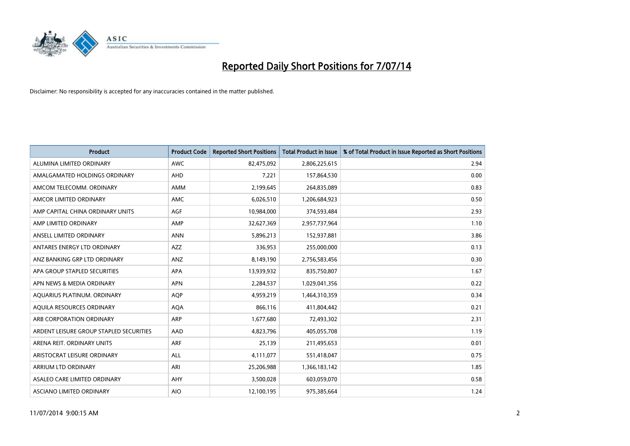

| <b>Product</b>                          | <b>Product Code</b> | <b>Reported Short Positions</b> | <b>Total Product in Issue</b> | % of Total Product in Issue Reported as Short Positions |
|-----------------------------------------|---------------------|---------------------------------|-------------------------------|---------------------------------------------------------|
| ALUMINA LIMITED ORDINARY                | <b>AWC</b>          | 82,475,092                      | 2,806,225,615                 | 2.94                                                    |
| AMALGAMATED HOLDINGS ORDINARY           | <b>AHD</b>          | 7,221                           | 157,864,530                   | 0.00                                                    |
| AMCOM TELECOMM. ORDINARY                | AMM                 | 2,199,645                       | 264,835,089                   | 0.83                                                    |
| AMCOR LIMITED ORDINARY                  | <b>AMC</b>          | 6,026,510                       | 1,206,684,923                 | 0.50                                                    |
| AMP CAPITAL CHINA ORDINARY UNITS        | AGF                 | 10,984,000                      | 374,593,484                   | 2.93                                                    |
| AMP LIMITED ORDINARY                    | AMP                 | 32,627,369                      | 2,957,737,964                 | 1.10                                                    |
| ANSELL LIMITED ORDINARY                 | <b>ANN</b>          | 5,896,213                       | 152,937,881                   | 3.86                                                    |
| ANTARES ENERGY LTD ORDINARY             | AZZ                 | 336,953                         | 255,000,000                   | 0.13                                                    |
| ANZ BANKING GRP LTD ORDINARY            | ANZ                 | 8,149,190                       | 2,756,583,456                 | 0.30                                                    |
| APA GROUP STAPLED SECURITIES            | <b>APA</b>          | 13,939,932                      | 835,750,807                   | 1.67                                                    |
| APN NEWS & MEDIA ORDINARY               | <b>APN</b>          | 2,284,537                       | 1,029,041,356                 | 0.22                                                    |
| AQUARIUS PLATINUM. ORDINARY             | <b>AOP</b>          | 4,959,219                       | 1,464,310,359                 | 0.34                                                    |
| AQUILA RESOURCES ORDINARY               | <b>AQA</b>          | 866,116                         | 411,804,442                   | 0.21                                                    |
| ARB CORPORATION ORDINARY                | <b>ARP</b>          | 1,677,680                       | 72,493,302                    | 2.31                                                    |
| ARDENT LEISURE GROUP STAPLED SECURITIES | AAD                 | 4,823,796                       | 405,055,708                   | 1.19                                                    |
| ARENA REIT. ORDINARY UNITS              | <b>ARF</b>          | 25,139                          | 211,495,653                   | 0.01                                                    |
| ARISTOCRAT LEISURE ORDINARY             | ALL                 | 4,111,077                       | 551,418,047                   | 0.75                                                    |
| ARRIUM LTD ORDINARY                     | ARI                 | 25,206,988                      | 1,366,183,142                 | 1.85                                                    |
| ASALEO CARE LIMITED ORDINARY            | AHY                 | 3,500,028                       | 603,059,070                   | 0.58                                                    |
| ASCIANO LIMITED ORDINARY                | <b>AIO</b>          | 12,100,195                      | 975,385,664                   | 1.24                                                    |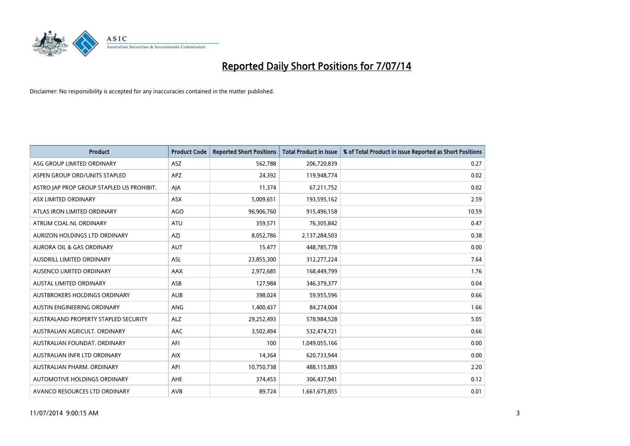

| <b>Product</b>                            | <b>Product Code</b> | <b>Reported Short Positions</b> | <b>Total Product in Issue</b> | % of Total Product in Issue Reported as Short Positions |
|-------------------------------------------|---------------------|---------------------------------|-------------------------------|---------------------------------------------------------|
| ASG GROUP LIMITED ORDINARY                | ASZ                 | 562,788                         | 206,720,839                   | 0.27                                                    |
| ASPEN GROUP ORD/UNITS STAPLED             | <b>APZ</b>          | 24,392                          | 119,948,774                   | 0.02                                                    |
| ASTRO JAP PROP GROUP STAPLED US PROHIBIT. | AJA                 | 11,374                          | 67,211,752                    | 0.02                                                    |
| ASX LIMITED ORDINARY                      | ASX                 | 5,009,651                       | 193,595,162                   | 2.59                                                    |
| ATLAS IRON LIMITED ORDINARY               | <b>AGO</b>          | 96,906,760                      | 915,496,158                   | 10.59                                                   |
| ATRUM COAL NL ORDINARY                    | <b>ATU</b>          | 359,571                         | 76,305,842                    | 0.47                                                    |
| AURIZON HOLDINGS LTD ORDINARY             | AZJ                 | 8,052,786                       | 2,137,284,503                 | 0.38                                                    |
| AURORA OIL & GAS ORDINARY                 | AUT                 | 15,477                          | 448,785,778                   | 0.00                                                    |
| AUSDRILL LIMITED ORDINARY                 | ASL                 | 23,855,300                      | 312,277,224                   | 7.64                                                    |
| AUSENCO LIMITED ORDINARY                  | <b>AAX</b>          | 2,972,685                       | 168,449,799                   | 1.76                                                    |
| <b>AUSTAL LIMITED ORDINARY</b>            | ASB                 | 127,984                         | 346,379,377                   | 0.04                                                    |
| AUSTBROKERS HOLDINGS ORDINARY             | <b>AUB</b>          | 398,024                         | 59,955,596                    | 0.66                                                    |
| <b>AUSTIN ENGINEERING ORDINARY</b>        | <b>ANG</b>          | 1,400,437                       | 84,274,004                    | 1.66                                                    |
| AUSTRALAND PROPERTY STAPLED SECURITY      | <b>ALZ</b>          | 29,252,493                      | 578,984,528                   | 5.05                                                    |
| AUSTRALIAN AGRICULT, ORDINARY             | AAC                 | 3,502,494                       | 532,474,721                   | 0.66                                                    |
| AUSTRALIAN FOUNDAT, ORDINARY              | AFI                 | 100                             | 1,049,055,166                 | 0.00                                                    |
| AUSTRALIAN INFR LTD ORDINARY              | <b>AIX</b>          | 14,364                          | 620,733,944                   | 0.00                                                    |
| AUSTRALIAN PHARM. ORDINARY                | API                 | 10,750,738                      | 488,115,883                   | 2.20                                                    |
| AUTOMOTIVE HOLDINGS ORDINARY              | <b>AHE</b>          | 374,453                         | 306,437,941                   | 0.12                                                    |
| AVANCO RESOURCES LTD ORDINARY             | AVB                 | 89,724                          | 1,661,675,855                 | 0.01                                                    |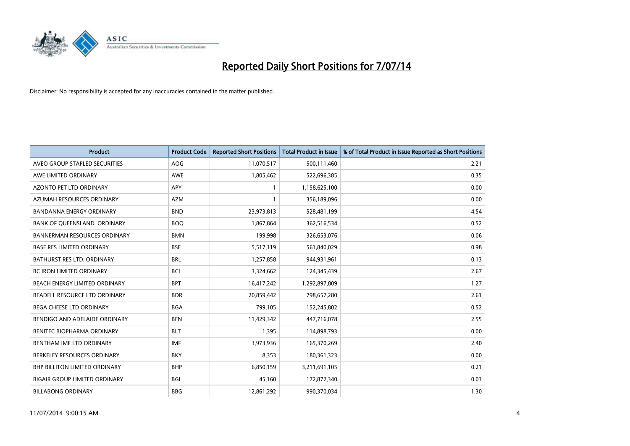

| <b>Product</b>                       | <b>Product Code</b> | <b>Reported Short Positions</b> | <b>Total Product in Issue</b> | % of Total Product in Issue Reported as Short Positions |
|--------------------------------------|---------------------|---------------------------------|-------------------------------|---------------------------------------------------------|
| AVEO GROUP STAPLED SECURITIES        | AOG                 | 11,070,517                      | 500,111,460                   | 2.21                                                    |
| AWE LIMITED ORDINARY                 | AWE                 | 1,805,462                       | 522,696,385                   | 0.35                                                    |
| AZONTO PET LTD ORDINARY              | APY                 | 1                               | 1,158,625,100                 | 0.00                                                    |
| AZUMAH RESOURCES ORDINARY            | <b>AZM</b>          | $\mathbf{1}$                    | 356,189,096                   | 0.00                                                    |
| <b>BANDANNA ENERGY ORDINARY</b>      | <b>BND</b>          | 23,973,813                      | 528,481,199                   | 4.54                                                    |
| BANK OF QUEENSLAND. ORDINARY         | <b>BOO</b>          | 1,867,864                       | 362,516,534                   | 0.52                                                    |
| <b>BANNERMAN RESOURCES ORDINARY</b>  | <b>BMN</b>          | 199,998                         | 326,653,076                   | 0.06                                                    |
| <b>BASE RES LIMITED ORDINARY</b>     | <b>BSE</b>          | 5,517,119                       | 561,840,029                   | 0.98                                                    |
| BATHURST RES LTD. ORDINARY           | <b>BRL</b>          | 1,257,858                       | 944,931,961                   | 0.13                                                    |
| <b>BC IRON LIMITED ORDINARY</b>      | <b>BCI</b>          | 3,324,662                       | 124,345,439                   | 2.67                                                    |
| BEACH ENERGY LIMITED ORDINARY        | <b>BPT</b>          | 16,417,242                      | 1,292,897,809                 | 1.27                                                    |
| BEADELL RESOURCE LTD ORDINARY        | <b>BDR</b>          | 20,859,442                      | 798,657,280                   | 2.61                                                    |
| BEGA CHEESE LTD ORDINARY             | <b>BGA</b>          | 799,105                         | 152,245,802                   | 0.52                                                    |
| BENDIGO AND ADELAIDE ORDINARY        | <b>BEN</b>          | 11,429,342                      | 447,716,078                   | 2.55                                                    |
| BENITEC BIOPHARMA ORDINARY           | <b>BLT</b>          | 1,395                           | 114,898,793                   | 0.00                                                    |
| BENTHAM IMF LTD ORDINARY             | <b>IMF</b>          | 3,973,936                       | 165,370,269                   | 2.40                                                    |
| BERKELEY RESOURCES ORDINARY          | <b>BKY</b>          | 8,353                           | 180,361,323                   | 0.00                                                    |
| <b>BHP BILLITON LIMITED ORDINARY</b> | <b>BHP</b>          | 6,850,159                       | 3,211,691,105                 | 0.21                                                    |
| <b>BIGAIR GROUP LIMITED ORDINARY</b> | <b>BGL</b>          | 45,160                          | 172,872,340                   | 0.03                                                    |
| <b>BILLABONG ORDINARY</b>            | <b>BBG</b>          | 12,861,292                      | 990,370,034                   | 1.30                                                    |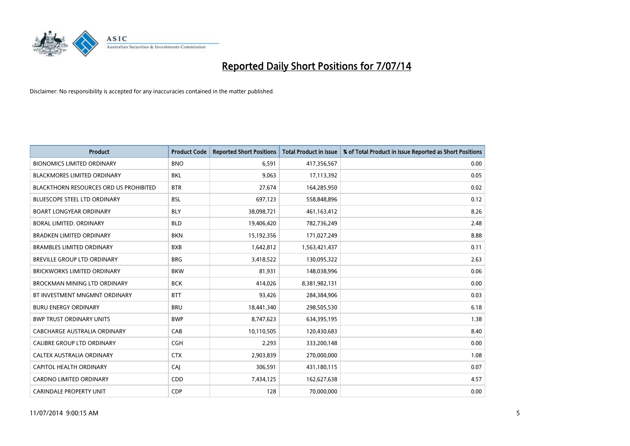

| <b>Product</b>                                | <b>Product Code</b> | <b>Reported Short Positions</b> | <b>Total Product in Issue</b> | % of Total Product in Issue Reported as Short Positions |
|-----------------------------------------------|---------------------|---------------------------------|-------------------------------|---------------------------------------------------------|
| <b>BIONOMICS LIMITED ORDINARY</b>             | <b>BNO</b>          | 6,591                           | 417,356,567                   | 0.00                                                    |
| <b>BLACKMORES LIMITED ORDINARY</b>            | <b>BKL</b>          | 9,063                           | 17,113,392                    | 0.05                                                    |
| <b>BLACKTHORN RESOURCES ORD US PROHIBITED</b> | <b>BTR</b>          | 27,674                          | 164,285,950                   | 0.02                                                    |
| BLUESCOPE STEEL LTD ORDINARY                  | <b>BSL</b>          | 697,123                         | 558,848,896                   | 0.12                                                    |
| <b>BOART LONGYEAR ORDINARY</b>                | <b>BLY</b>          | 38,098,721                      | 461,163,412                   | 8.26                                                    |
| BORAL LIMITED. ORDINARY                       | <b>BLD</b>          | 19,406,420                      | 782,736,249                   | 2.48                                                    |
| <b>BRADKEN LIMITED ORDINARY</b>               | <b>BKN</b>          | 15,192,356                      | 171,027,249                   | 8.88                                                    |
| <b>BRAMBLES LIMITED ORDINARY</b>              | <b>BXB</b>          | 1,642,812                       | 1,563,421,437                 | 0.11                                                    |
| <b>BREVILLE GROUP LTD ORDINARY</b>            | <b>BRG</b>          | 3,418,522                       | 130,095,322                   | 2.63                                                    |
| <b>BRICKWORKS LIMITED ORDINARY</b>            | <b>BKW</b>          | 81,931                          | 148,038,996                   | 0.06                                                    |
| BROCKMAN MINING LTD ORDINARY                  | <b>BCK</b>          | 414,026                         | 8,381,982,131                 | 0.00                                                    |
| BT INVESTMENT MNGMNT ORDINARY                 | <b>BTT</b>          | 93,426                          | 284,384,906                   | 0.03                                                    |
| <b>BURU ENERGY ORDINARY</b>                   | <b>BRU</b>          | 18,441,340                      | 298,505,530                   | 6.18                                                    |
| <b>BWP TRUST ORDINARY UNITS</b>               | <b>BWP</b>          | 8,747,623                       | 634,395,195                   | 1.38                                                    |
| CABCHARGE AUSTRALIA ORDINARY                  | CAB                 | 10,110,505                      | 120,430,683                   | 8.40                                                    |
| <b>CALIBRE GROUP LTD ORDINARY</b>             | <b>CGH</b>          | 2,293                           | 333,200,148                   | 0.00                                                    |
| CALTEX AUSTRALIA ORDINARY                     | <b>CTX</b>          | 2,903,839                       | 270,000,000                   | 1.08                                                    |
| CAPITOL HEALTH ORDINARY                       | CAJ                 | 306,591                         | 431,180,115                   | 0.07                                                    |
| <b>CARDNO LIMITED ORDINARY</b>                | CDD                 | 7,434,125                       | 162,627,638                   | 4.57                                                    |
| <b>CARINDALE PROPERTY UNIT</b>                | <b>CDP</b>          | 128                             | 70,000,000                    | 0.00                                                    |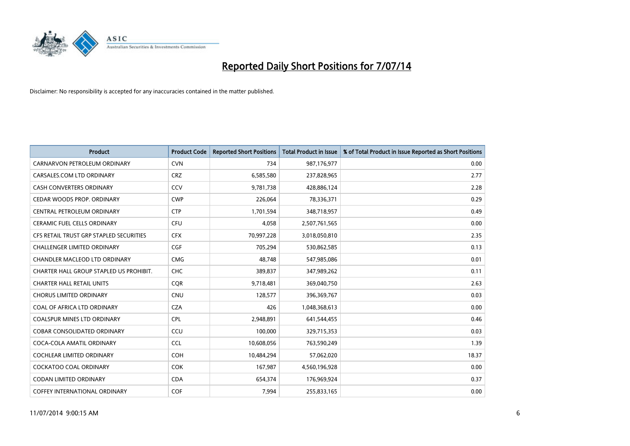

| <b>Product</b>                          | <b>Product Code</b> | <b>Reported Short Positions</b> | <b>Total Product in Issue</b> | % of Total Product in Issue Reported as Short Positions |
|-----------------------------------------|---------------------|---------------------------------|-------------------------------|---------------------------------------------------------|
| CARNARVON PETROLEUM ORDINARY            | <b>CVN</b>          | 734                             | 987,176,977                   | 0.00                                                    |
| CARSALES.COM LTD ORDINARY               | <b>CRZ</b>          | 6,585,580                       | 237,828,965                   | 2.77                                                    |
| <b>CASH CONVERTERS ORDINARY</b>         | CCV                 | 9,781,738                       | 428,886,124                   | 2.28                                                    |
| CEDAR WOODS PROP. ORDINARY              | <b>CWP</b>          | 226,064                         | 78,336,371                    | 0.29                                                    |
| CENTRAL PETROLEUM ORDINARY              | <b>CTP</b>          | 1,701,594                       | 348,718,957                   | 0.49                                                    |
| <b>CERAMIC FUEL CELLS ORDINARY</b>      | <b>CFU</b>          | 4,058                           | 2,507,761,565                 | 0.00                                                    |
| CFS RETAIL TRUST GRP STAPLED SECURITIES | <b>CFX</b>          | 70,997,228                      | 3,018,050,810                 | 2.35                                                    |
| <b>CHALLENGER LIMITED ORDINARY</b>      | <b>CGF</b>          | 705,294                         | 530,862,585                   | 0.13                                                    |
| CHANDLER MACLEOD LTD ORDINARY           | <b>CMG</b>          | 48.748                          | 547,985,086                   | 0.01                                                    |
| CHARTER HALL GROUP STAPLED US PROHIBIT. | <b>CHC</b>          | 389,837                         | 347,989,262                   | 0.11                                                    |
| <b>CHARTER HALL RETAIL UNITS</b>        | <b>CQR</b>          | 9,718,481                       | 369,040,750                   | 2.63                                                    |
| <b>CHORUS LIMITED ORDINARY</b>          | <b>CNU</b>          | 128,577                         | 396,369,767                   | 0.03                                                    |
| COAL OF AFRICA LTD ORDINARY             | <b>CZA</b>          | 426                             | 1,048,368,613                 | 0.00                                                    |
| <b>COALSPUR MINES LTD ORDINARY</b>      | <b>CPL</b>          | 2,948,891                       | 641,544,455                   | 0.46                                                    |
| <b>COBAR CONSOLIDATED ORDINARY</b>      | CCU                 | 100,000                         | 329,715,353                   | 0.03                                                    |
| COCA-COLA AMATIL ORDINARY               | <b>CCL</b>          | 10,608,056                      | 763,590,249                   | 1.39                                                    |
| COCHLEAR LIMITED ORDINARY               | <b>COH</b>          | 10,484,294                      | 57,062,020                    | 18.37                                                   |
| <b>COCKATOO COAL ORDINARY</b>           | COK                 | 167,987                         | 4,560,196,928                 | 0.00                                                    |
| <b>CODAN LIMITED ORDINARY</b>           | <b>CDA</b>          | 654,374                         | 176,969,924                   | 0.37                                                    |
| COFFEY INTERNATIONAL ORDINARY           | <b>COF</b>          | 7,994                           | 255,833,165                   | 0.00                                                    |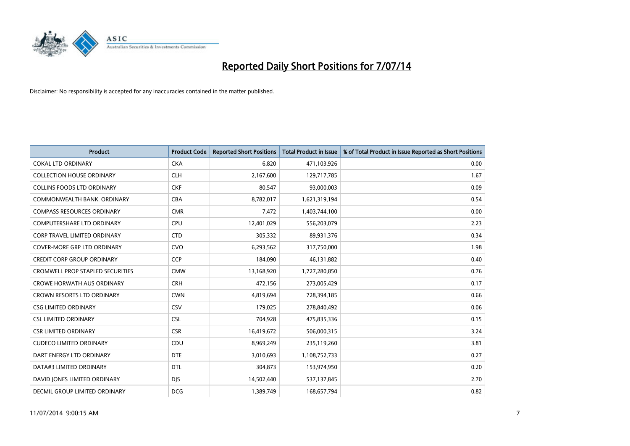

| <b>Product</b>                          | <b>Product Code</b> | <b>Reported Short Positions</b> | <b>Total Product in Issue</b> | % of Total Product in Issue Reported as Short Positions |
|-----------------------------------------|---------------------|---------------------------------|-------------------------------|---------------------------------------------------------|
| <b>COKAL LTD ORDINARY</b>               | <b>CKA</b>          | 6,820                           | 471,103,926                   | 0.00                                                    |
| <b>COLLECTION HOUSE ORDINARY</b>        | <b>CLH</b>          | 2,167,600                       | 129,717,785                   | 1.67                                                    |
| <b>COLLINS FOODS LTD ORDINARY</b>       | <b>CKF</b>          | 80,547                          | 93,000,003                    | 0.09                                                    |
| COMMONWEALTH BANK, ORDINARY             | <b>CBA</b>          | 8,782,017                       | 1,621,319,194                 | 0.54                                                    |
| <b>COMPASS RESOURCES ORDINARY</b>       | <b>CMR</b>          | 7,472                           | 1,403,744,100                 | 0.00                                                    |
| <b>COMPUTERSHARE LTD ORDINARY</b>       | <b>CPU</b>          | 12,401,029                      | 556,203,079                   | 2.23                                                    |
| <b>CORP TRAVEL LIMITED ORDINARY</b>     | <b>CTD</b>          | 305,332                         | 89,931,376                    | 0.34                                                    |
| COVER-MORE GRP LTD ORDINARY             | <b>CVO</b>          | 6,293,562                       | 317,750,000                   | 1.98                                                    |
| <b>CREDIT CORP GROUP ORDINARY</b>       | <b>CCP</b>          | 184,090                         | 46,131,882                    | 0.40                                                    |
| <b>CROMWELL PROP STAPLED SECURITIES</b> | <b>CMW</b>          | 13,168,920                      | 1,727,280,850                 | 0.76                                                    |
| <b>CROWE HORWATH AUS ORDINARY</b>       | <b>CRH</b>          | 472,156                         | 273,005,429                   | 0.17                                                    |
| <b>CROWN RESORTS LTD ORDINARY</b>       | <b>CWN</b>          | 4,819,694                       | 728,394,185                   | 0.66                                                    |
| <b>CSG LIMITED ORDINARY</b>             | CSV                 | 179,025                         | 278,840,492                   | 0.06                                                    |
| <b>CSL LIMITED ORDINARY</b>             | <b>CSL</b>          | 704,928                         | 475,835,336                   | 0.15                                                    |
| <b>CSR LIMITED ORDINARY</b>             | <b>CSR</b>          | 16,419,672                      | 506,000,315                   | 3.24                                                    |
| <b>CUDECO LIMITED ORDINARY</b>          | CDU                 | 8,969,249                       | 235,119,260                   | 3.81                                                    |
| DART ENERGY LTD ORDINARY                | <b>DTE</b>          | 3,010,693                       | 1,108,752,733                 | 0.27                                                    |
| DATA#3 LIMITED ORDINARY                 | <b>DTL</b>          | 304,873                         | 153,974,950                   | 0.20                                                    |
| DAVID JONES LIMITED ORDINARY            | <b>DJS</b>          | 14,502,440                      | 537,137,845                   | 2.70                                                    |
| DECMIL GROUP LIMITED ORDINARY           | <b>DCG</b>          | 1,389,749                       | 168,657,794                   | 0.82                                                    |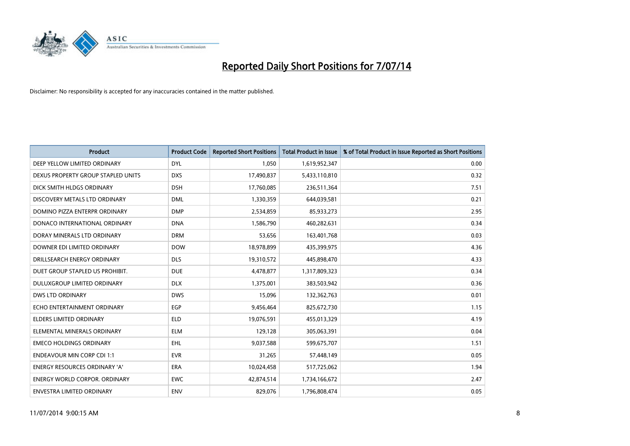

| <b>Product</b>                       | <b>Product Code</b> | <b>Reported Short Positions</b> | <b>Total Product in Issue</b> | % of Total Product in Issue Reported as Short Positions |
|--------------------------------------|---------------------|---------------------------------|-------------------------------|---------------------------------------------------------|
| DEEP YELLOW LIMITED ORDINARY         | <b>DYL</b>          | 1,050                           | 1,619,952,347                 | 0.00                                                    |
| DEXUS PROPERTY GROUP STAPLED UNITS   | <b>DXS</b>          | 17,490,837                      | 5,433,110,810                 | 0.32                                                    |
| DICK SMITH HLDGS ORDINARY            | <b>DSH</b>          | 17,760,085                      | 236,511,364                   | 7.51                                                    |
| DISCOVERY METALS LTD ORDINARY        | <b>DML</b>          | 1,330,359                       | 644,039,581                   | 0.21                                                    |
| DOMINO PIZZA ENTERPR ORDINARY        | <b>DMP</b>          | 2,534,859                       | 85,933,273                    | 2.95                                                    |
| DONACO INTERNATIONAL ORDINARY        | <b>DNA</b>          | 1,586,790                       | 460,282,631                   | 0.34                                                    |
| DORAY MINERALS LTD ORDINARY          | <b>DRM</b>          | 53,656                          | 163,401,768                   | 0.03                                                    |
| DOWNER EDI LIMITED ORDINARY          | <b>DOW</b>          | 18,978,899                      | 435,399,975                   | 4.36                                                    |
| DRILLSEARCH ENERGY ORDINARY          | <b>DLS</b>          | 19,310,572                      | 445,898,470                   | 4.33                                                    |
| DUET GROUP STAPLED US PROHIBIT.      | <b>DUE</b>          | 4,478,877                       | 1,317,809,323                 | 0.34                                                    |
| DULUXGROUP LIMITED ORDINARY          | <b>DLX</b>          | 1,375,001                       | 383,503,942                   | 0.36                                                    |
| <b>DWS LTD ORDINARY</b>              | <b>DWS</b>          | 15,096                          | 132,362,763                   | 0.01                                                    |
| ECHO ENTERTAINMENT ORDINARY          | <b>EGP</b>          | 9,456,464                       | 825,672,730                   | 1.15                                                    |
| <b>ELDERS LIMITED ORDINARY</b>       | <b>ELD</b>          | 19,076,591                      | 455,013,329                   | 4.19                                                    |
| ELEMENTAL MINERALS ORDINARY          | <b>ELM</b>          | 129,128                         | 305,063,391                   | 0.04                                                    |
| <b>EMECO HOLDINGS ORDINARY</b>       | <b>EHL</b>          | 9,037,588                       | 599,675,707                   | 1.51                                                    |
| <b>ENDEAVOUR MIN CORP CDI 1:1</b>    | <b>EVR</b>          | 31,265                          | 57,448,149                    | 0.05                                                    |
| ENERGY RESOURCES ORDINARY 'A'        | <b>ERA</b>          | 10,024,458                      | 517,725,062                   | 1.94                                                    |
| <b>ENERGY WORLD CORPOR, ORDINARY</b> | <b>EWC</b>          | 42,874,514                      | 1,734,166,672                 | 2.47                                                    |
| ENVESTRA LIMITED ORDINARY            | ENV                 | 829,076                         | 1,796,808,474                 | 0.05                                                    |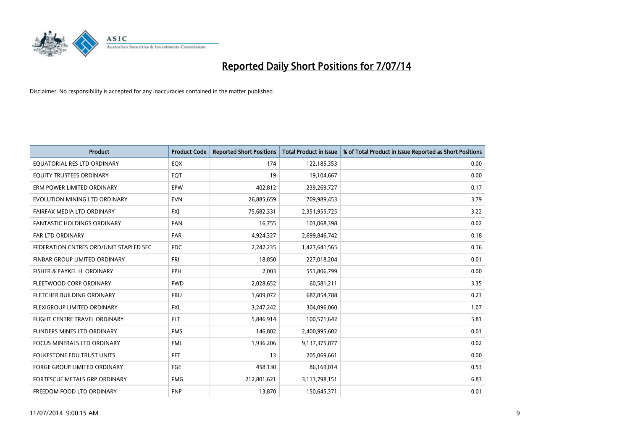

| <b>Product</b>                         | <b>Product Code</b> | <b>Reported Short Positions</b> | <b>Total Product in Issue</b> | % of Total Product in Issue Reported as Short Positions |
|----------------------------------------|---------------------|---------------------------------|-------------------------------|---------------------------------------------------------|
| EQUATORIAL RES LTD ORDINARY            | EQX                 | 174                             | 122,185,353                   | 0.00                                                    |
| EQUITY TRUSTEES ORDINARY               | EQT                 | 19                              | 19,104,667                    | 0.00                                                    |
| ERM POWER LIMITED ORDINARY             | <b>EPW</b>          | 402,812                         | 239,269,727                   | 0.17                                                    |
| EVOLUTION MINING LTD ORDINARY          | <b>EVN</b>          | 26,885,659                      | 709,989,453                   | 3.79                                                    |
| FAIRFAX MEDIA LTD ORDINARY             | <b>FXI</b>          | 75,682,331                      | 2,351,955,725                 | 3.22                                                    |
| <b>FANTASTIC HOLDINGS ORDINARY</b>     | <b>FAN</b>          | 16,755                          | 103,068,398                   | 0.02                                                    |
| <b>FAR LTD ORDINARY</b>                | <b>FAR</b>          | 4,924,327                       | 2,699,846,742                 | 0.18                                                    |
| FEDERATION CNTRES ORD/UNIT STAPLED SEC | <b>FDC</b>          | 2,242,235                       | 1,427,641,565                 | 0.16                                                    |
| FINBAR GROUP LIMITED ORDINARY          | <b>FRI</b>          | 18,850                          | 227,018,204                   | 0.01                                                    |
| FISHER & PAYKEL H. ORDINARY            | <b>FPH</b>          | 2,003                           | 551,806,799                   | 0.00                                                    |
| FLEETWOOD CORP ORDINARY                | <b>FWD</b>          | 2,028,652                       | 60,581,211                    | 3.35                                                    |
| FLETCHER BUILDING ORDINARY             | <b>FBU</b>          | 1,609,072                       | 687,854,788                   | 0.23                                                    |
| FLEXIGROUP LIMITED ORDINARY            | FXL                 | 3,247,242                       | 304,096,060                   | 1.07                                                    |
| FLIGHT CENTRE TRAVEL ORDINARY          | <b>FLT</b>          | 5,846,914                       | 100,571,642                   | 5.81                                                    |
| FLINDERS MINES LTD ORDINARY            | <b>FMS</b>          | 146,802                         | 2,400,995,602                 | 0.01                                                    |
| <b>FOCUS MINERALS LTD ORDINARY</b>     | <b>FML</b>          | 1,936,206                       | 9,137,375,877                 | 0.02                                                    |
| <b>FOLKESTONE EDU TRUST UNITS</b>      | <b>FET</b>          | 13                              | 205,069,661                   | 0.00                                                    |
| FORGE GROUP LIMITED ORDINARY           | FGE                 | 458,130                         | 86,169,014                    | 0.53                                                    |
| FORTESCUE METALS GRP ORDINARY          | <b>FMG</b>          | 212,801,621                     | 3,113,798,151                 | 6.83                                                    |
| FREEDOM FOOD LTD ORDINARY              | <b>FNP</b>          | 13,870                          | 150,645,371                   | 0.01                                                    |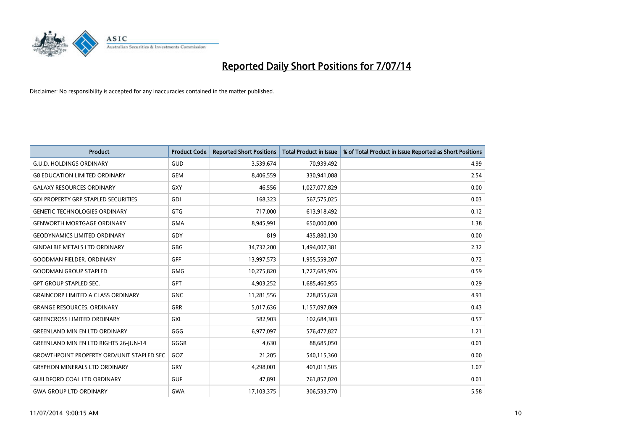

| <b>Product</b>                                   | <b>Product Code</b> | <b>Reported Short Positions</b> | <b>Total Product in Issue</b> | % of Total Product in Issue Reported as Short Positions |
|--------------------------------------------------|---------------------|---------------------------------|-------------------------------|---------------------------------------------------------|
| <b>G.U.D. HOLDINGS ORDINARY</b>                  | GUD                 | 3,539,674                       | 70,939,492                    | 4.99                                                    |
| <b>G8 EDUCATION LIMITED ORDINARY</b>             | <b>GEM</b>          | 8,406,559                       | 330,941,088                   | 2.54                                                    |
| <b>GALAXY RESOURCES ORDINARY</b>                 | GXY                 | 46,556                          | 1,027,077,829                 | 0.00                                                    |
| <b>GDI PROPERTY GRP STAPLED SECURITIES</b>       | GDI                 | 168,323                         | 567,575,025                   | 0.03                                                    |
| <b>GENETIC TECHNOLOGIES ORDINARY</b>             | <b>GTG</b>          | 717,000                         | 613,918,492                   | 0.12                                                    |
| <b>GENWORTH MORTGAGE ORDINARY</b>                | <b>GMA</b>          | 8,945,991                       | 650,000,000                   | 1.38                                                    |
| <b>GEODYNAMICS LIMITED ORDINARY</b>              | GDY                 | 819                             | 435,880,130                   | 0.00                                                    |
| <b>GINDALBIE METALS LTD ORDINARY</b>             | GBG                 | 34,732,200                      | 1,494,007,381                 | 2.32                                                    |
| <b>GOODMAN FIELDER, ORDINARY</b>                 | <b>GFF</b>          | 13,997,573                      | 1,955,559,207                 | 0.72                                                    |
| <b>GOODMAN GROUP STAPLED</b>                     | <b>GMG</b>          | 10,275,820                      | 1,727,685,976                 | 0.59                                                    |
| <b>GPT GROUP STAPLED SEC.</b>                    | GPT                 | 4,903,252                       | 1,685,460,955                 | 0.29                                                    |
| <b>GRAINCORP LIMITED A CLASS ORDINARY</b>        | <b>GNC</b>          | 11,281,556                      | 228,855,628                   | 4.93                                                    |
| <b>GRANGE RESOURCES. ORDINARY</b>                | GRR                 | 5,017,636                       | 1,157,097,869                 | 0.43                                                    |
| <b>GREENCROSS LIMITED ORDINARY</b>               | GXL                 | 582,903                         | 102,684,303                   | 0.57                                                    |
| <b>GREENLAND MIN EN LTD ORDINARY</b>             | GGG                 | 6,977,097                       | 576,477,827                   | 1.21                                                    |
| <b>GREENLAND MIN EN LTD RIGHTS 26-JUN-14</b>     | GGGR                | 4,630                           | 88,685,050                    | 0.01                                                    |
| <b>GROWTHPOINT PROPERTY ORD/UNIT STAPLED SEC</b> | GOZ                 | 21,205                          | 540,115,360                   | 0.00                                                    |
| <b>GRYPHON MINERALS LTD ORDINARY</b>             | GRY                 | 4,298,001                       | 401,011,505                   | 1.07                                                    |
| <b>GUILDFORD COAL LTD ORDINARY</b>               | <b>GUF</b>          | 47,891                          | 761,857,020                   | 0.01                                                    |
| <b>GWA GROUP LTD ORDINARY</b>                    | <b>GWA</b>          | 17,103,375                      | 306,533,770                   | 5.58                                                    |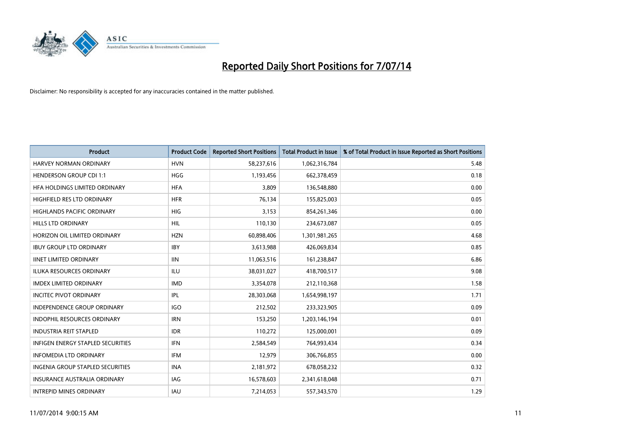

| <b>Product</b>                           | <b>Product Code</b> | <b>Reported Short Positions</b> | <b>Total Product in Issue</b> | % of Total Product in Issue Reported as Short Positions |
|------------------------------------------|---------------------|---------------------------------|-------------------------------|---------------------------------------------------------|
| HARVEY NORMAN ORDINARY                   | <b>HVN</b>          | 58,237,616                      | 1,062,316,784                 | 5.48                                                    |
| <b>HENDERSON GROUP CDI 1:1</b>           | <b>HGG</b>          | 1,193,456                       | 662,378,459                   | 0.18                                                    |
| HFA HOLDINGS LIMITED ORDINARY            | <b>HFA</b>          | 3,809                           | 136,548,880                   | 0.00                                                    |
| HIGHFIELD RES LTD ORDINARY               | <b>HFR</b>          | 76,134                          | 155,825,003                   | 0.05                                                    |
| <b>HIGHLANDS PACIFIC ORDINARY</b>        | <b>HIG</b>          | 3,153                           | 854,261,346                   | 0.00                                                    |
| HILLS LTD ORDINARY                       | <b>HIL</b>          | 110,130                         | 234,673,087                   | 0.05                                                    |
| HORIZON OIL LIMITED ORDINARY             | <b>HZN</b>          | 60,898,406                      | 1,301,981,265                 | 4.68                                                    |
| <b>IBUY GROUP LTD ORDINARY</b>           | <b>IBY</b>          | 3,613,988                       | 426,069,834                   | 0.85                                                    |
| <b>IINET LIMITED ORDINARY</b>            | <b>IIN</b>          | 11,063,516                      | 161,238,847                   | 6.86                                                    |
| <b>ILUKA RESOURCES ORDINARY</b>          | ILU                 | 38,031,027                      | 418,700,517                   | 9.08                                                    |
| <b>IMDEX LIMITED ORDINARY</b>            | <b>IMD</b>          | 3,354,078                       | 212,110,368                   | 1.58                                                    |
| <b>INCITEC PIVOT ORDINARY</b>            | IPL                 | 28,303,068                      | 1,654,998,197                 | 1.71                                                    |
| <b>INDEPENDENCE GROUP ORDINARY</b>       | <b>IGO</b>          | 212,502                         | 233,323,905                   | 0.09                                                    |
| <b>INDOPHIL RESOURCES ORDINARY</b>       | <b>IRN</b>          | 153,250                         | 1,203,146,194                 | 0.01                                                    |
| <b>INDUSTRIA REIT STAPLED</b>            | <b>IDR</b>          | 110,272                         | 125,000,001                   | 0.09                                                    |
| <b>INFIGEN ENERGY STAPLED SECURITIES</b> | <b>IFN</b>          | 2,584,549                       | 764,993,434                   | 0.34                                                    |
| <b>INFOMEDIA LTD ORDINARY</b>            | IFM                 | 12,979                          | 306,766,855                   | 0.00                                                    |
| INGENIA GROUP STAPLED SECURITIES         | <b>INA</b>          | 2,181,972                       | 678,058,232                   | 0.32                                                    |
| <b>INSURANCE AUSTRALIA ORDINARY</b>      | IAG                 | 16,578,603                      | 2,341,618,048                 | 0.71                                                    |
| <b>INTREPID MINES ORDINARY</b>           | <b>IAU</b>          | 7,214,053                       | 557,343,570                   | 1.29                                                    |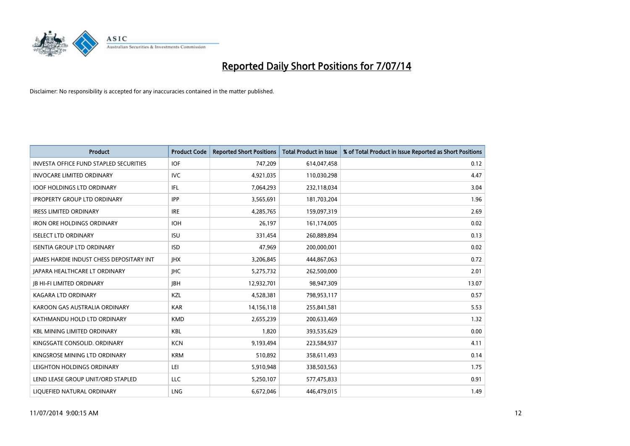

| <b>Product</b>                                  | <b>Product Code</b> | <b>Reported Short Positions</b> | <b>Total Product in Issue</b> | % of Total Product in Issue Reported as Short Positions |
|-------------------------------------------------|---------------------|---------------------------------|-------------------------------|---------------------------------------------------------|
| <b>INVESTA OFFICE FUND STAPLED SECURITIES</b>   | <b>IOF</b>          | 747,209                         | 614,047,458                   | 0.12                                                    |
| <b>INVOCARE LIMITED ORDINARY</b>                | IVC                 | 4,921,035                       | 110,030,298                   | 4.47                                                    |
| <b>IOOF HOLDINGS LTD ORDINARY</b>               | IFL                 | 7,064,293                       | 232,118,034                   | 3.04                                                    |
| <b>IPROPERTY GROUP LTD ORDINARY</b>             | <b>IPP</b>          | 3,565,691                       | 181,703,204                   | 1.96                                                    |
| <b>IRESS LIMITED ORDINARY</b>                   | <b>IRE</b>          | 4,285,765                       | 159,097,319                   | 2.69                                                    |
| <b>IRON ORE HOLDINGS ORDINARY</b>               | <b>IOH</b>          | 26,197                          | 161,174,005                   | 0.02                                                    |
| <b>ISELECT LTD ORDINARY</b>                     | <b>ISU</b>          | 331,454                         | 260,889,894                   | 0.13                                                    |
| <b>ISENTIA GROUP LTD ORDINARY</b>               | <b>ISD</b>          | 47,969                          | 200,000,001                   | 0.02                                                    |
| <b>JAMES HARDIE INDUST CHESS DEPOSITARY INT</b> | <b>IHX</b>          | 3,206,845                       | 444,867,063                   | 0.72                                                    |
| JAPARA HEALTHCARE LT ORDINARY                   | <b>IHC</b>          | 5,275,732                       | 262,500,000                   | 2.01                                                    |
| <b>JB HI-FI LIMITED ORDINARY</b>                | <b>JBH</b>          | 12,932,701                      | 98,947,309                    | 13.07                                                   |
| <b>KAGARA LTD ORDINARY</b>                      | KZL                 | 4,528,381                       | 798,953,117                   | 0.57                                                    |
| KAROON GAS AUSTRALIA ORDINARY                   | <b>KAR</b>          | 14,156,118                      | 255,841,581                   | 5.53                                                    |
| KATHMANDU HOLD LTD ORDINARY                     | <b>KMD</b>          | 2,655,239                       | 200,633,469                   | 1.32                                                    |
| <b>KBL MINING LIMITED ORDINARY</b>              | <b>KBL</b>          | 1,820                           | 393,535,629                   | 0.00                                                    |
| KINGSGATE CONSOLID. ORDINARY                    | <b>KCN</b>          | 9,193,494                       | 223,584,937                   | 4.11                                                    |
| KINGSROSE MINING LTD ORDINARY                   | <b>KRM</b>          | 510,892                         | 358,611,493                   | 0.14                                                    |
| LEIGHTON HOLDINGS ORDINARY                      | LEI                 | 5,910,948                       | 338,503,563                   | 1.75                                                    |
| LEND LEASE GROUP UNIT/ORD STAPLED               | <b>LLC</b>          | 5,250,107                       | 577,475,833                   | 0.91                                                    |
| LIQUEFIED NATURAL ORDINARY                      | <b>LNG</b>          | 6,672,046                       | 446,479,015                   | 1.49                                                    |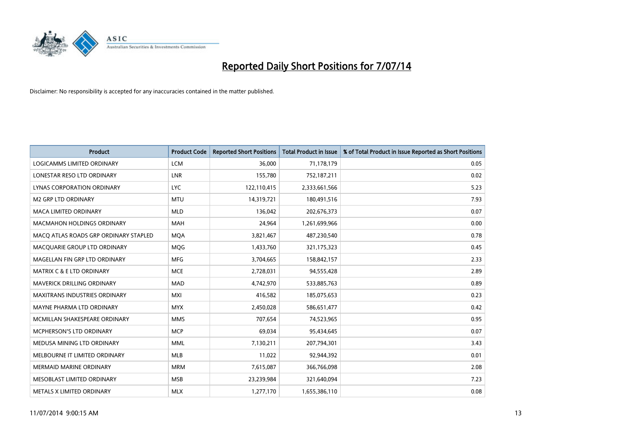

| <b>Product</b>                        | <b>Product Code</b> | <b>Reported Short Positions</b> | <b>Total Product in Issue</b> | % of Total Product in Issue Reported as Short Positions |
|---------------------------------------|---------------------|---------------------------------|-------------------------------|---------------------------------------------------------|
| LOGICAMMS LIMITED ORDINARY            | <b>LCM</b>          | 36,000                          | 71,178,179                    | 0.05                                                    |
| LONESTAR RESO LTD ORDINARY            | LNR                 | 155,780                         | 752,187,211                   | 0.02                                                    |
| <b>LYNAS CORPORATION ORDINARY</b>     | <b>LYC</b>          | 122,110,415                     | 2,333,661,566                 | 5.23                                                    |
| <b>M2 GRP LTD ORDINARY</b>            | <b>MTU</b>          | 14,319,721                      | 180,491,516                   | 7.93                                                    |
| <b>MACA LIMITED ORDINARY</b>          | <b>MLD</b>          | 136,042                         | 202,676,373                   | 0.07                                                    |
| <b>MACMAHON HOLDINGS ORDINARY</b>     | <b>MAH</b>          | 24,964                          | 1,261,699,966                 | 0.00                                                    |
| MACO ATLAS ROADS GRP ORDINARY STAPLED | <b>MOA</b>          | 3,821,467                       | 487,230,540                   | 0.78                                                    |
| MACQUARIE GROUP LTD ORDINARY          | MQG                 | 1,433,760                       | 321,175,323                   | 0.45                                                    |
| MAGELLAN FIN GRP LTD ORDINARY         | <b>MFG</b>          | 3,704,665                       | 158,842,157                   | 2.33                                                    |
| <b>MATRIX C &amp; E LTD ORDINARY</b>  | <b>MCE</b>          | 2,728,031                       | 94,555,428                    | 2.89                                                    |
| MAVERICK DRILLING ORDINARY            | <b>MAD</b>          | 4,742,970                       | 533,885,763                   | 0.89                                                    |
| <b>MAXITRANS INDUSTRIES ORDINARY</b>  | <b>MXI</b>          | 416,582                         | 185,075,653                   | 0.23                                                    |
| MAYNE PHARMA LTD ORDINARY             | <b>MYX</b>          | 2,450,028                       | 586,651,477                   | 0.42                                                    |
| MCMILLAN SHAKESPEARE ORDINARY         | <b>MMS</b>          | 707,654                         | 74,523,965                    | 0.95                                                    |
| <b>MCPHERSON'S LTD ORDINARY</b>       | <b>MCP</b>          | 69,034                          | 95,434,645                    | 0.07                                                    |
| MEDUSA MINING LTD ORDINARY            | <b>MML</b>          | 7,130,211                       | 207,794,301                   | 3.43                                                    |
| MELBOURNE IT LIMITED ORDINARY         | MLB                 | 11,022                          | 92,944,392                    | 0.01                                                    |
| <b>MERMAID MARINE ORDINARY</b>        | <b>MRM</b>          | 7,615,087                       | 366,766,098                   | 2.08                                                    |
| MESOBLAST LIMITED ORDINARY            | <b>MSB</b>          | 23,239,984                      | 321,640,094                   | 7.23                                                    |
| METALS X LIMITED ORDINARY             | <b>MLX</b>          | 1,277,170                       | 1,655,386,110                 | 0.08                                                    |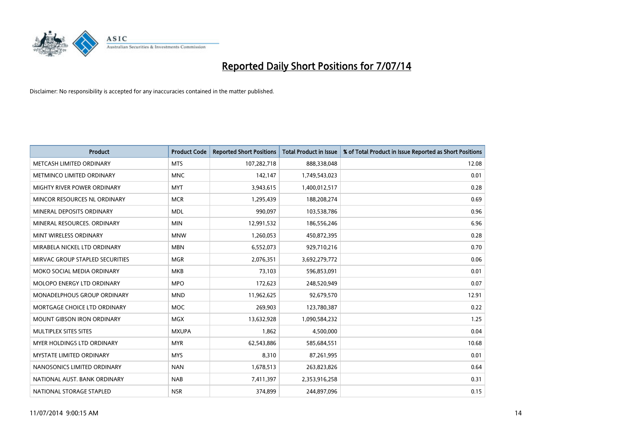

| <b>Product</b>                     | <b>Product Code</b> | <b>Reported Short Positions</b> | <b>Total Product in Issue</b> | % of Total Product in Issue Reported as Short Positions |
|------------------------------------|---------------------|---------------------------------|-------------------------------|---------------------------------------------------------|
| METCASH LIMITED ORDINARY           | <b>MTS</b>          | 107,282,718                     | 888,338,048                   | 12.08                                                   |
| METMINCO LIMITED ORDINARY          | <b>MNC</b>          | 142,147                         | 1,749,543,023                 | 0.01                                                    |
| MIGHTY RIVER POWER ORDINARY        | <b>MYT</b>          | 3,943,615                       | 1,400,012,517                 | 0.28                                                    |
| MINCOR RESOURCES NL ORDINARY       | <b>MCR</b>          | 1,295,439                       | 188,208,274                   | 0.69                                                    |
| MINERAL DEPOSITS ORDINARY          | <b>MDL</b>          | 990,097                         | 103,538,786                   | 0.96                                                    |
| MINERAL RESOURCES, ORDINARY        | <b>MIN</b>          | 12,991,532                      | 186,556,246                   | 6.96                                                    |
| MINT WIRELESS ORDINARY             | <b>MNW</b>          | 1,260,053                       | 450,872,395                   | 0.28                                                    |
| MIRABELA NICKEL LTD ORDINARY       | <b>MBN</b>          | 6,552,073                       | 929,710,216                   | 0.70                                                    |
| MIRVAC GROUP STAPLED SECURITIES    | <b>MGR</b>          | 2,076,351                       | 3,692,279,772                 | 0.06                                                    |
| MOKO SOCIAL MEDIA ORDINARY         | <b>MKB</b>          | 73,103                          | 596,853,091                   | 0.01                                                    |
| MOLOPO ENERGY LTD ORDINARY         | <b>MPO</b>          | 172,623                         | 248,520,949                   | 0.07                                                    |
| <b>MONADELPHOUS GROUP ORDINARY</b> | <b>MND</b>          | 11,962,625                      | 92,679,570                    | 12.91                                                   |
| MORTGAGE CHOICE LTD ORDINARY       | <b>MOC</b>          | 269,903                         | 123,780,387                   | 0.22                                                    |
| <b>MOUNT GIBSON IRON ORDINARY</b>  | <b>MGX</b>          | 13,632,928                      | 1,090,584,232                 | 1.25                                                    |
| MULTIPLEX SITES SITES              | <b>MXUPA</b>        | 1,862                           | 4,500,000                     | 0.04                                                    |
| MYER HOLDINGS LTD ORDINARY         | <b>MYR</b>          | 62,543,886                      | 585,684,551                   | 10.68                                                   |
| MYSTATE LIMITED ORDINARY           | <b>MYS</b>          | 8,310                           | 87,261,995                    | 0.01                                                    |
| NANOSONICS LIMITED ORDINARY        | <b>NAN</b>          | 1,678,513                       | 263,823,826                   | 0.64                                                    |
| NATIONAL AUST. BANK ORDINARY       | <b>NAB</b>          | 7,411,397                       | 2,353,916,258                 | 0.31                                                    |
| NATIONAL STORAGE STAPLED           | <b>NSR</b>          | 374,899                         | 244,897,096                   | 0.15                                                    |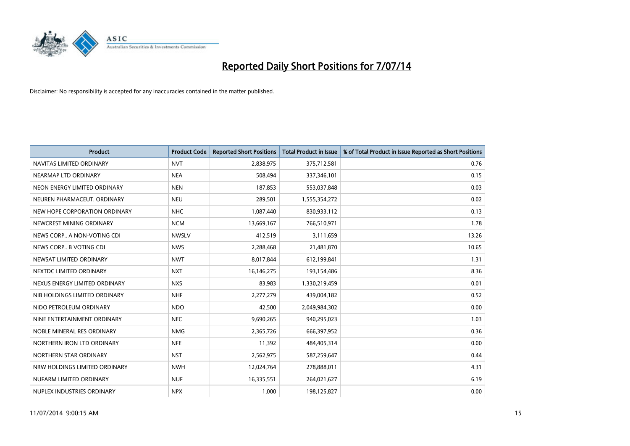

| <b>Product</b>                | <b>Product Code</b> | <b>Reported Short Positions</b> | <b>Total Product in Issue</b> | % of Total Product in Issue Reported as Short Positions |
|-------------------------------|---------------------|---------------------------------|-------------------------------|---------------------------------------------------------|
| NAVITAS LIMITED ORDINARY      | <b>NVT</b>          | 2,838,975                       | 375,712,581                   | 0.76                                                    |
| NEARMAP LTD ORDINARY          | <b>NEA</b>          | 508,494                         | 337,346,101                   | 0.15                                                    |
| NEON ENERGY LIMITED ORDINARY  | <b>NEN</b>          | 187,853                         | 553,037,848                   | 0.03                                                    |
| NEUREN PHARMACEUT, ORDINARY   | <b>NEU</b>          | 289,501                         | 1,555,354,272                 | 0.02                                                    |
| NEW HOPE CORPORATION ORDINARY | <b>NHC</b>          | 1,087,440                       | 830,933,112                   | 0.13                                                    |
| NEWCREST MINING ORDINARY      | <b>NCM</b>          | 13,669,167                      | 766,510,971                   | 1.78                                                    |
| NEWS CORP A NON-VOTING CDI    | <b>NWSLV</b>        | 412,519                         | 3,111,659                     | 13.26                                                   |
| NEWS CORP B VOTING CDI        | <b>NWS</b>          | 2,288,468                       | 21,481,870                    | 10.65                                                   |
| NEWSAT LIMITED ORDINARY       | <b>NWT</b>          | 8,017,844                       | 612,199,841                   | 1.31                                                    |
| NEXTDC LIMITED ORDINARY       | <b>NXT</b>          | 16,146,275                      | 193,154,486                   | 8.36                                                    |
| NEXUS ENERGY LIMITED ORDINARY | <b>NXS</b>          | 83,983                          | 1,330,219,459                 | 0.01                                                    |
| NIB HOLDINGS LIMITED ORDINARY | <b>NHF</b>          | 2,277,279                       | 439,004,182                   | 0.52                                                    |
| NIDO PETROLEUM ORDINARY       | <b>NDO</b>          | 42,500                          | 2,049,984,302                 | 0.00                                                    |
| NINE ENTERTAINMENT ORDINARY   | <b>NEC</b>          | 9,690,265                       | 940,295,023                   | 1.03                                                    |
| NOBLE MINERAL RES ORDINARY    | <b>NMG</b>          | 2,365,726                       | 666,397,952                   | 0.36                                                    |
| NORTHERN IRON LTD ORDINARY    | <b>NFE</b>          | 11,392                          | 484,405,314                   | 0.00                                                    |
| NORTHERN STAR ORDINARY        | <b>NST</b>          | 2,562,975                       | 587,259,647                   | 0.44                                                    |
| NRW HOLDINGS LIMITED ORDINARY | <b>NWH</b>          | 12,024,764                      | 278,888,011                   | 4.31                                                    |
| NUFARM LIMITED ORDINARY       | <b>NUF</b>          | 16,335,551                      | 264,021,627                   | 6.19                                                    |
| NUPLEX INDUSTRIES ORDINARY    | <b>NPX</b>          | 1,000                           | 198,125,827                   | 0.00                                                    |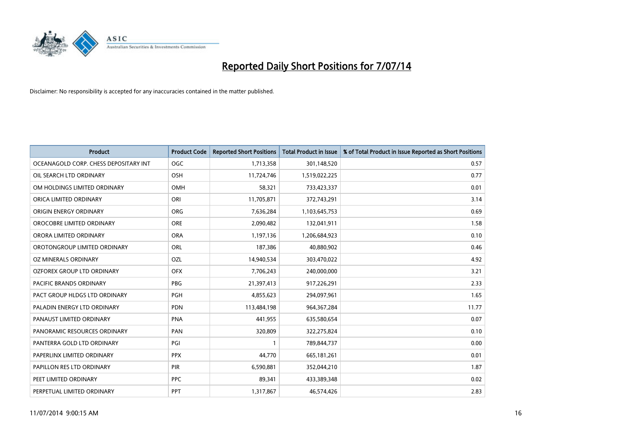

| <b>Product</b>                        | <b>Product Code</b> | <b>Reported Short Positions</b> | <b>Total Product in Issue</b> | % of Total Product in Issue Reported as Short Positions |
|---------------------------------------|---------------------|---------------------------------|-------------------------------|---------------------------------------------------------|
| OCEANAGOLD CORP. CHESS DEPOSITARY INT | <b>OGC</b>          | 1,713,358                       | 301,148,520                   | 0.57                                                    |
| OIL SEARCH LTD ORDINARY               | OSH                 | 11,724,746                      | 1,519,022,225                 | 0.77                                                    |
| OM HOLDINGS LIMITED ORDINARY          | <b>OMH</b>          | 58,321                          | 733,423,337                   | 0.01                                                    |
| ORICA LIMITED ORDINARY                | ORI                 | 11,705,871                      | 372,743,291                   | 3.14                                                    |
| ORIGIN ENERGY ORDINARY                | ORG                 | 7,636,284                       | 1,103,645,753                 | 0.69                                                    |
| OROCOBRE LIMITED ORDINARY             | <b>ORE</b>          | 2,090,482                       | 132,041,911                   | 1.58                                                    |
| ORORA LIMITED ORDINARY                | <b>ORA</b>          | 1,197,136                       | 1,206,684,923                 | 0.10                                                    |
| OROTONGROUP LIMITED ORDINARY          | <b>ORL</b>          | 187,386                         | 40,880,902                    | 0.46                                                    |
| OZ MINERALS ORDINARY                  | OZL                 | 14,940,534                      | 303,470,022                   | 4.92                                                    |
| OZFOREX GROUP LTD ORDINARY            | <b>OFX</b>          | 7,706,243                       | 240,000,000                   | 3.21                                                    |
| PACIFIC BRANDS ORDINARY               | PBG                 | 21,397,413                      | 917,226,291                   | 2.33                                                    |
| PACT GROUP HLDGS LTD ORDINARY         | <b>PGH</b>          | 4,855,623                       | 294,097,961                   | 1.65                                                    |
| PALADIN ENERGY LTD ORDINARY           | <b>PDN</b>          | 113,484,198                     | 964, 367, 284                 | 11.77                                                   |
| PANAUST LIMITED ORDINARY              | <b>PNA</b>          | 441,955                         | 635,580,654                   | 0.07                                                    |
| PANORAMIC RESOURCES ORDINARY          | PAN                 | 320,809                         | 322,275,824                   | 0.10                                                    |
| PANTERRA GOLD LTD ORDINARY            | PGI                 |                                 | 789,844,737                   | 0.00                                                    |
| PAPERLINX LIMITED ORDINARY            | <b>PPX</b>          | 44,770                          | 665, 181, 261                 | 0.01                                                    |
| PAPILLON RES LTD ORDINARY             | PIR                 | 6,590,881                       | 352,044,210                   | 1.87                                                    |
| PEET LIMITED ORDINARY                 | <b>PPC</b>          | 89,341                          | 433,389,348                   | 0.02                                                    |
| PERPETUAL LIMITED ORDINARY            | PPT                 | 1,317,867                       | 46,574,426                    | 2.83                                                    |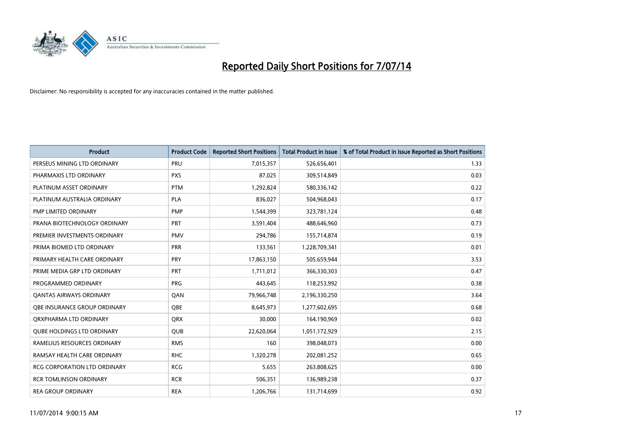

| <b>Product</b>                    | <b>Product Code</b> | <b>Reported Short Positions</b> | <b>Total Product in Issue</b> | % of Total Product in Issue Reported as Short Positions |
|-----------------------------------|---------------------|---------------------------------|-------------------------------|---------------------------------------------------------|
| PERSEUS MINING LTD ORDINARY       | PRU                 | 7,015,357                       | 526,656,401                   | 1.33                                                    |
| PHARMAXIS LTD ORDINARY            | <b>PXS</b>          | 87,025                          | 309,514,849                   | 0.03                                                    |
| PLATINUM ASSET ORDINARY           | <b>PTM</b>          | 1,292,824                       | 580,336,142                   | 0.22                                                    |
| PLATINUM AUSTRALIA ORDINARY       | <b>PLA</b>          | 836,027                         | 504,968,043                   | 0.17                                                    |
| PMP LIMITED ORDINARY              | <b>PMP</b>          | 1,544,399                       | 323,781,124                   | 0.48                                                    |
| PRANA BIOTECHNOLOGY ORDINARY      | PBT                 | 3,591,404                       | 488,646,960                   | 0.73                                                    |
| PREMIER INVESTMENTS ORDINARY      | <b>PMV</b>          | 294,786                         | 155,714,874                   | 0.19                                                    |
| PRIMA BIOMED LTD ORDINARY         | <b>PRR</b>          | 133,561                         | 1,228,709,341                 | 0.01                                                    |
| PRIMARY HEALTH CARE ORDINARY      | <b>PRY</b>          | 17,863,150                      | 505,659,944                   | 3.53                                                    |
| PRIME MEDIA GRP LTD ORDINARY      | <b>PRT</b>          | 1,711,012                       | 366,330,303                   | 0.47                                                    |
| PROGRAMMED ORDINARY               | <b>PRG</b>          | 443,645                         | 118,253,992                   | 0.38                                                    |
| <b>QANTAS AIRWAYS ORDINARY</b>    | QAN                 | 79,966,748                      | 2,196,330,250                 | 3.64                                                    |
| OBE INSURANCE GROUP ORDINARY      | <b>OBE</b>          | 8,645,973                       | 1,277,602,695                 | 0.68                                                    |
| ORXPHARMA LTD ORDINARY            | <b>QRX</b>          | 30,000                          | 164,190,969                   | 0.02                                                    |
| <b>QUBE HOLDINGS LTD ORDINARY</b> | QUB                 | 22,620,064                      | 1,051,172,929                 | 2.15                                                    |
| RAMELIUS RESOURCES ORDINARY       | <b>RMS</b>          | 160                             | 398,048,073                   | 0.00                                                    |
| RAMSAY HEALTH CARE ORDINARY       | <b>RHC</b>          | 1,320,278                       | 202,081,252                   | 0.65                                                    |
| RCG CORPORATION LTD ORDINARY      | <b>RCG</b>          | 5,655                           | 263,808,625                   | 0.00                                                    |
| <b>RCR TOMLINSON ORDINARY</b>     | <b>RCR</b>          | 506,351                         | 136,989,238                   | 0.37                                                    |
| <b>REA GROUP ORDINARY</b>         | <b>REA</b>          | 1,206,766                       | 131,714,699                   | 0.92                                                    |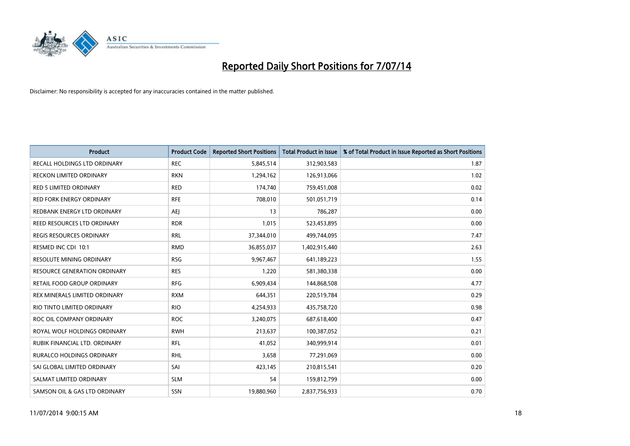

| <b>Product</b>                      | <b>Product Code</b> | <b>Reported Short Positions</b> | <b>Total Product in Issue</b> | % of Total Product in Issue Reported as Short Positions |
|-------------------------------------|---------------------|---------------------------------|-------------------------------|---------------------------------------------------------|
| <b>RECALL HOLDINGS LTD ORDINARY</b> | <b>REC</b>          | 5,845,514                       | 312,903,583                   | 1.87                                                    |
| <b>RECKON LIMITED ORDINARY</b>      | <b>RKN</b>          | 1,294,162                       | 126,913,066                   | 1.02                                                    |
| <b>RED 5 LIMITED ORDINARY</b>       | <b>RED</b>          | 174,740                         | 759,451,008                   | 0.02                                                    |
| RED FORK ENERGY ORDINARY            | <b>RFE</b>          | 708,010                         | 501,051,719                   | 0.14                                                    |
| REDBANK ENERGY LTD ORDINARY         | <b>AEJ</b>          | 13                              | 786,287                       | 0.00                                                    |
| REED RESOURCES LTD ORDINARY         | <b>RDR</b>          | 1,015                           | 523,453,895                   | 0.00                                                    |
| <b>REGIS RESOURCES ORDINARY</b>     | <b>RRL</b>          | 37,344,010                      | 499,744,095                   | 7.47                                                    |
| RESMED INC CDI 10:1                 | <b>RMD</b>          | 36,855,037                      | 1,402,915,440                 | 2.63                                                    |
| <b>RESOLUTE MINING ORDINARY</b>     | <b>RSG</b>          | 9,967,467                       | 641,189,223                   | 1.55                                                    |
| <b>RESOURCE GENERATION ORDINARY</b> | <b>RES</b>          | 1,220                           | 581,380,338                   | 0.00                                                    |
| RETAIL FOOD GROUP ORDINARY          | <b>RFG</b>          | 6,909,434                       | 144,868,508                   | 4.77                                                    |
| REX MINERALS LIMITED ORDINARY       | <b>RXM</b>          | 644,351                         | 220,519,784                   | 0.29                                                    |
| RIO TINTO LIMITED ORDINARY          | <b>RIO</b>          | 4,254,933                       | 435,758,720                   | 0.98                                                    |
| ROC OIL COMPANY ORDINARY            | <b>ROC</b>          | 3,240,075                       | 687,618,400                   | 0.47                                                    |
| ROYAL WOLF HOLDINGS ORDINARY        | <b>RWH</b>          | 213,637                         | 100,387,052                   | 0.21                                                    |
| RUBIK FINANCIAL LTD. ORDINARY       | <b>RFL</b>          | 41,052                          | 340,999,914                   | 0.01                                                    |
| <b>RURALCO HOLDINGS ORDINARY</b>    | <b>RHL</b>          | 3,658                           | 77,291,069                    | 0.00                                                    |
| SAI GLOBAL LIMITED ORDINARY         | SAI                 | 423,145                         | 210,815,541                   | 0.20                                                    |
| SALMAT LIMITED ORDINARY             | <b>SLM</b>          | 54                              | 159,812,799                   | 0.00                                                    |
| SAMSON OIL & GAS LTD ORDINARY       | <b>SSN</b>          | 19,880,960                      | 2,837,756,933                 | 0.70                                                    |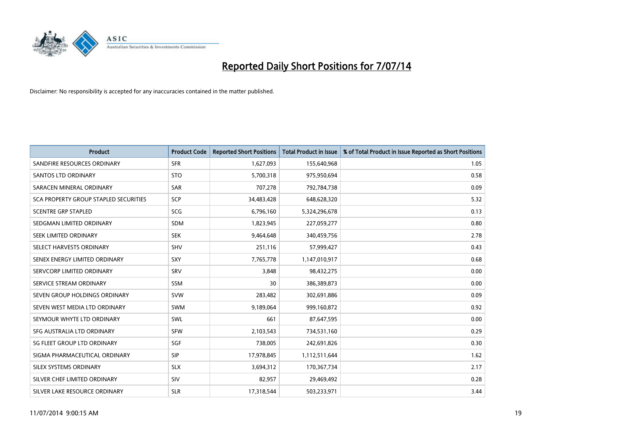

| <b>Product</b>                        | <b>Product Code</b> | <b>Reported Short Positions</b> | <b>Total Product in Issue</b> | % of Total Product in Issue Reported as Short Positions |
|---------------------------------------|---------------------|---------------------------------|-------------------------------|---------------------------------------------------------|
| SANDFIRE RESOURCES ORDINARY           | <b>SFR</b>          | 1,627,093                       | 155,640,968                   | 1.05                                                    |
| SANTOS LTD ORDINARY                   | <b>STO</b>          | 5,700,318                       | 975,950,694                   | 0.58                                                    |
| SARACEN MINERAL ORDINARY              | <b>SAR</b>          | 707,278                         | 792,784,738                   | 0.09                                                    |
| SCA PROPERTY GROUP STAPLED SECURITIES | SCP                 | 34,483,428                      | 648,628,320                   | 5.32                                                    |
| <b>SCENTRE GRP STAPLED</b>            | SCG                 | 6,796,160                       | 5,324,296,678                 | 0.13                                                    |
| SEDGMAN LIMITED ORDINARY              | <b>SDM</b>          | 1,823,945                       | 227,059,277                   | 0.80                                                    |
| SEEK LIMITED ORDINARY                 | <b>SEK</b>          | 9,464,648                       | 340,459,756                   | 2.78                                                    |
| SELECT HARVESTS ORDINARY              | <b>SHV</b>          | 251,116                         | 57,999,427                    | 0.43                                                    |
| SENEX ENERGY LIMITED ORDINARY         | <b>SXY</b>          | 7,765,778                       | 1,147,010,917                 | 0.68                                                    |
| SERVCORP LIMITED ORDINARY             | SRV                 | 3,848                           | 98,432,275                    | 0.00                                                    |
| SERVICE STREAM ORDINARY               | SSM                 | 30                              | 386,389,873                   | 0.00                                                    |
| SEVEN GROUP HOLDINGS ORDINARY         | <b>SVW</b>          | 283,482                         | 302,691,886                   | 0.09                                                    |
| SEVEN WEST MEDIA LTD ORDINARY         | <b>SWM</b>          | 9,189,064                       | 999,160,872                   | 0.92                                                    |
| SEYMOUR WHYTE LTD ORDINARY            | SWL                 | 661                             | 87,647,595                    | 0.00                                                    |
| SFG AUSTRALIA LTD ORDINARY            | <b>SFW</b>          | 2,103,543                       | 734,531,160                   | 0.29                                                    |
| SG FLEET GROUP LTD ORDINARY           | SGF                 | 738,005                         | 242,691,826                   | 0.30                                                    |
| SIGMA PHARMACEUTICAL ORDINARY         | <b>SIP</b>          | 17,978,845                      | 1,112,511,644                 | 1.62                                                    |
| SILEX SYSTEMS ORDINARY                | <b>SLX</b>          | 3,694,312                       | 170,367,734                   | 2.17                                                    |
| SILVER CHEF LIMITED ORDINARY          | <b>SIV</b>          | 82,957                          | 29,469,492                    | 0.28                                                    |
| SILVER LAKE RESOURCE ORDINARY         | <b>SLR</b>          | 17,318,544                      | 503,233,971                   | 3.44                                                    |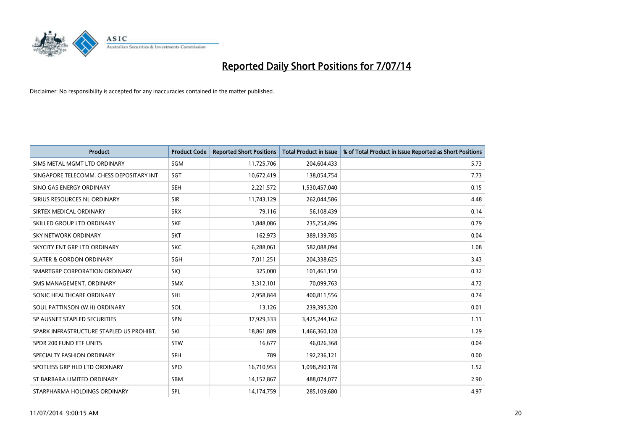

| <b>Product</b>                           | <b>Product Code</b> | <b>Reported Short Positions</b> | <b>Total Product in Issue</b> | % of Total Product in Issue Reported as Short Positions |
|------------------------------------------|---------------------|---------------------------------|-------------------------------|---------------------------------------------------------|
| SIMS METAL MGMT LTD ORDINARY             | SGM                 | 11,725,706                      | 204,604,433                   | 5.73                                                    |
| SINGAPORE TELECOMM. CHESS DEPOSITARY INT | SGT                 | 10,672,419                      | 138,054,754                   | 7.73                                                    |
| SINO GAS ENERGY ORDINARY                 | <b>SEH</b>          | 2,221,572                       | 1,530,457,040                 | 0.15                                                    |
| SIRIUS RESOURCES NL ORDINARY             | <b>SIR</b>          | 11,743,129                      | 262,044,586                   | 4.48                                                    |
| SIRTEX MEDICAL ORDINARY                  | <b>SRX</b>          | 79,116                          | 56,108,439                    | 0.14                                                    |
| SKILLED GROUP LTD ORDINARY               | <b>SKE</b>          | 1,848,086                       | 235,254,496                   | 0.79                                                    |
| <b>SKY NETWORK ORDINARY</b>              | <b>SKT</b>          | 162,973                         | 389,139,785                   | 0.04                                                    |
| SKYCITY ENT GRP LTD ORDINARY             | <b>SKC</b>          | 6,288,061                       | 582,088,094                   | 1.08                                                    |
| <b>SLATER &amp; GORDON ORDINARY</b>      | SGH                 | 7,011,251                       | 204,338,625                   | 3.43                                                    |
| SMARTGRP CORPORATION ORDINARY            | <b>SIQ</b>          | 325,000                         | 101,461,150                   | 0.32                                                    |
| SMS MANAGEMENT, ORDINARY                 | SMX                 | 3,312,101                       | 70,099,763                    | 4.72                                                    |
| SONIC HEALTHCARE ORDINARY                | SHL                 | 2,958,844                       | 400,811,556                   | 0.74                                                    |
| SOUL PATTINSON (W.H) ORDINARY            | SOL                 | 13,126                          | 239,395,320                   | 0.01                                                    |
| SP AUSNET STAPLED SECURITIES             | SPN                 | 37,929,333                      | 3,425,244,162                 | 1.11                                                    |
| SPARK INFRASTRUCTURE STAPLED US PROHIBT. | SKI                 | 18,861,889                      | 1,466,360,128                 | 1.29                                                    |
| SPDR 200 FUND ETF UNITS                  | <b>STW</b>          | 16,677                          | 46,026,368                    | 0.04                                                    |
| SPECIALTY FASHION ORDINARY               | <b>SFH</b>          | 789                             | 192,236,121                   | 0.00                                                    |
| SPOTLESS GRP HLD LTD ORDINARY            | <b>SPO</b>          | 16,710,953                      | 1,098,290,178                 | 1.52                                                    |
| ST BARBARA LIMITED ORDINARY              | <b>SBM</b>          | 14,152,867                      | 488,074,077                   | 2.90                                                    |
| STARPHARMA HOLDINGS ORDINARY             | SPL                 | 14,174,759                      | 285,109,680                   | 4.97                                                    |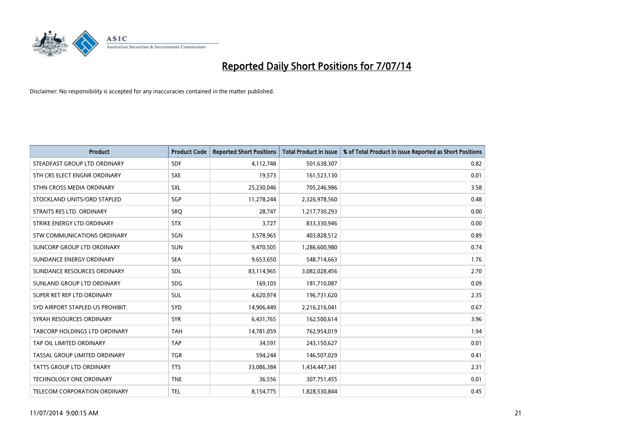

| <b>Product</b>                      | <b>Product Code</b> | <b>Reported Short Positions</b> | <b>Total Product in Issue</b> | % of Total Product in Issue Reported as Short Positions |
|-------------------------------------|---------------------|---------------------------------|-------------------------------|---------------------------------------------------------|
| STEADFAST GROUP LTD ORDINARY        | <b>SDF</b>          | 4,112,748                       | 501,638,307                   | 0.82                                                    |
| STH CRS ELECT ENGNR ORDINARY        | <b>SXE</b>          | 19,573                          | 161,523,130                   | 0.01                                                    |
| STHN CROSS MEDIA ORDINARY           | <b>SXL</b>          | 25,230,046                      | 705,246,986                   | 3.58                                                    |
| STOCKLAND UNITS/ORD STAPLED         | <b>SGP</b>          | 11,278,244                      | 2,326,978,560                 | 0.48                                                    |
| STRAITS RES LTD. ORDINARY           | SRO                 | 28.747                          | 1,217,730,293                 | 0.00                                                    |
| STRIKE ENERGY LTD ORDINARY          | <b>STX</b>          | 3,727                           | 833,330,946                   | 0.00                                                    |
| <b>STW COMMUNICATIONS ORDINARY</b>  | SGN                 | 3,578,965                       | 403,828,512                   | 0.89                                                    |
| SUNCORP GROUP LTD ORDINARY          | <b>SUN</b>          | 9,470,505                       | 1,286,600,980                 | 0.74                                                    |
| SUNDANCE ENERGY ORDINARY            | <b>SEA</b>          | 9,653,650                       | 548,714,663                   | 1.76                                                    |
| SUNDANCE RESOURCES ORDINARY         | <b>SDL</b>          | 83,114,965                      | 3,082,028,456                 | 2.70                                                    |
| SUNLAND GROUP LTD ORDINARY          | <b>SDG</b>          | 169,103                         | 181,710,087                   | 0.09                                                    |
| SUPER RET REP LTD ORDINARY          | <b>SUL</b>          | 4,620,974                       | 196,731,620                   | 2.35                                                    |
| SYD AIRPORT STAPLED US PROHIBIT.    | <b>SYD</b>          | 14,906,449                      | 2,216,216,041                 | 0.67                                                    |
| SYRAH RESOURCES ORDINARY            | <b>SYR</b>          | 6,431,765                       | 162,500,614                   | 3.96                                                    |
| TABCORP HOLDINGS LTD ORDINARY       | <b>TAH</b>          | 14,781,059                      | 762,954,019                   | 1.94                                                    |
| TAP OIL LIMITED ORDINARY            | <b>TAP</b>          | 34,591                          | 243,150,627                   | 0.01                                                    |
| TASSAL GROUP LIMITED ORDINARY       | <b>TGR</b>          | 594,244                         | 146,507,029                   | 0.41                                                    |
| <b>TATTS GROUP LTD ORDINARY</b>     | <b>TTS</b>          | 33,086,384                      | 1,434,447,341                 | 2.31                                                    |
| <b>TECHNOLOGY ONE ORDINARY</b>      | <b>TNE</b>          | 36,556                          | 307,751,455                   | 0.01                                                    |
| <b>TELECOM CORPORATION ORDINARY</b> | <b>TEL</b>          | 8,154,775                       | 1,828,530,844                 | 0.45                                                    |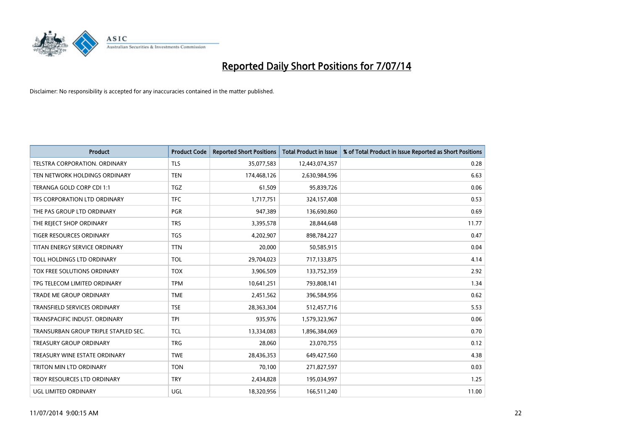

| <b>Product</b>                       | <b>Product Code</b> | <b>Reported Short Positions</b> | <b>Total Product in Issue</b> | % of Total Product in Issue Reported as Short Positions |
|--------------------------------------|---------------------|---------------------------------|-------------------------------|---------------------------------------------------------|
| <b>TELSTRA CORPORATION, ORDINARY</b> | <b>TLS</b>          | 35,077,583                      | 12,443,074,357                | 0.28                                                    |
| TEN NETWORK HOLDINGS ORDINARY        | <b>TEN</b>          | 174,468,126                     | 2,630,984,596                 | 6.63                                                    |
| TERANGA GOLD CORP CDI 1:1            | <b>TGZ</b>          | 61,509                          | 95,839,726                    | 0.06                                                    |
| TFS CORPORATION LTD ORDINARY         | <b>TFC</b>          | 1,717,751                       | 324,157,408                   | 0.53                                                    |
| THE PAS GROUP LTD ORDINARY           | PGR                 | 947,389                         | 136,690,860                   | 0.69                                                    |
| THE REJECT SHOP ORDINARY             | <b>TRS</b>          | 3,395,578                       | 28,844,648                    | 11.77                                                   |
| TIGER RESOURCES ORDINARY             | <b>TGS</b>          | 4,202,907                       | 898,784,227                   | 0.47                                                    |
| TITAN ENERGY SERVICE ORDINARY        | <b>TTN</b>          | 20,000                          | 50,585,915                    | 0.04                                                    |
| TOLL HOLDINGS LTD ORDINARY           | <b>TOL</b>          | 29,704,023                      | 717,133,875                   | 4.14                                                    |
| TOX FREE SOLUTIONS ORDINARY          | <b>TOX</b>          | 3,906,509                       | 133,752,359                   | 2.92                                                    |
| TPG TELECOM LIMITED ORDINARY         | <b>TPM</b>          | 10,641,251                      | 793,808,141                   | 1.34                                                    |
| <b>TRADE ME GROUP ORDINARY</b>       | <b>TME</b>          | 2,451,562                       | 396,584,956                   | 0.62                                                    |
| TRANSFIELD SERVICES ORDINARY         | <b>TSE</b>          | 28,363,304                      | 512,457,716                   | 5.53                                                    |
| TRANSPACIFIC INDUST, ORDINARY        | <b>TPI</b>          | 935,976                         | 1,579,323,967                 | 0.06                                                    |
| TRANSURBAN GROUP TRIPLE STAPLED SEC. | TCL                 | 13,334,083                      | 1,896,384,069                 | 0.70                                                    |
| <b>TREASURY GROUP ORDINARY</b>       | <b>TRG</b>          | 28,060                          | 23,070,755                    | 0.12                                                    |
| TREASURY WINE ESTATE ORDINARY        | <b>TWE</b>          | 28,436,353                      | 649,427,560                   | 4.38                                                    |
| TRITON MIN LTD ORDINARY              | <b>TON</b>          | 70.100                          | 271,827,597                   | 0.03                                                    |
| TROY RESOURCES LTD ORDINARY          | <b>TRY</b>          | 2,434,828                       | 195,034,997                   | 1.25                                                    |
| UGL LIMITED ORDINARY                 | UGL                 | 18,320,956                      | 166,511,240                   | 11.00                                                   |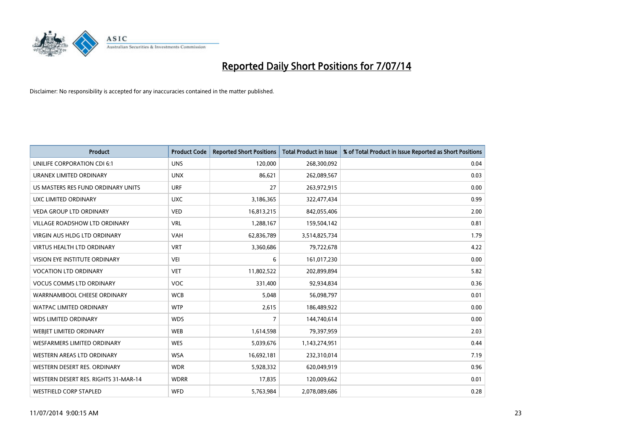

| <b>Product</b>                       | <b>Product Code</b> | <b>Reported Short Positions</b> | <b>Total Product in Issue</b> | % of Total Product in Issue Reported as Short Positions |
|--------------------------------------|---------------------|---------------------------------|-------------------------------|---------------------------------------------------------|
| UNILIFE CORPORATION CDI 6:1          | <b>UNS</b>          | 120,000                         | 268,300,092                   | 0.04                                                    |
| URANEX LIMITED ORDINARY              | <b>UNX</b>          | 86,621                          | 262,089,567                   | 0.03                                                    |
| US MASTERS RES FUND ORDINARY UNITS   | <b>URF</b>          | 27                              | 263,972,915                   | 0.00                                                    |
| UXC LIMITED ORDINARY                 | <b>UXC</b>          | 3,186,365                       | 322,477,434                   | 0.99                                                    |
| <b>VEDA GROUP LTD ORDINARY</b>       | <b>VED</b>          | 16,813,215                      | 842,055,406                   | 2.00                                                    |
| <b>VILLAGE ROADSHOW LTD ORDINARY</b> | <b>VRL</b>          | 1,288,167                       | 159,504,142                   | 0.81                                                    |
| <b>VIRGIN AUS HLDG LTD ORDINARY</b>  | <b>VAH</b>          | 62,836,789                      | 3,514,825,734                 | 1.79                                                    |
| <b>VIRTUS HEALTH LTD ORDINARY</b>    | <b>VRT</b>          | 3,360,686                       | 79,722,678                    | 4.22                                                    |
| VISION EYE INSTITUTE ORDINARY        | <b>VEI</b>          | 6                               | 161,017,230                   | 0.00                                                    |
| <b>VOCATION LTD ORDINARY</b>         | <b>VET</b>          | 11,802,522                      | 202,899,894                   | 5.82                                                    |
| <b>VOCUS COMMS LTD ORDINARY</b>      | <b>VOC</b>          | 331,400                         | 92,934,834                    | 0.36                                                    |
| WARRNAMBOOL CHEESE ORDINARY          | <b>WCB</b>          | 5,048                           | 56,098,797                    | 0.01                                                    |
| <b>WATPAC LIMITED ORDINARY</b>       | <b>WTP</b>          | 2,615                           | 186,489,922                   | 0.00                                                    |
| <b>WDS LIMITED ORDINARY</b>          | <b>WDS</b>          | 7                               | 144,740,614                   | 0.00                                                    |
| WEBJET LIMITED ORDINARY              | <b>WEB</b>          | 1,614,598                       | 79,397,959                    | 2.03                                                    |
| <b>WESFARMERS LIMITED ORDINARY</b>   | <b>WES</b>          | 5,039,676                       | 1,143,274,951                 | 0.44                                                    |
| <b>WESTERN AREAS LTD ORDINARY</b>    | <b>WSA</b>          | 16,692,181                      | 232,310,014                   | 7.19                                                    |
| WESTERN DESERT RES. ORDINARY         | <b>WDR</b>          | 5,928,332                       | 620,049,919                   | 0.96                                                    |
| WESTERN DESERT RES. RIGHTS 31-MAR-14 | <b>WDRR</b>         | 17,835                          | 120,009,662                   | 0.01                                                    |
| <b>WESTFIELD CORP STAPLED</b>        | WFD                 | 5,763,984                       | 2,078,089,686                 | 0.28                                                    |